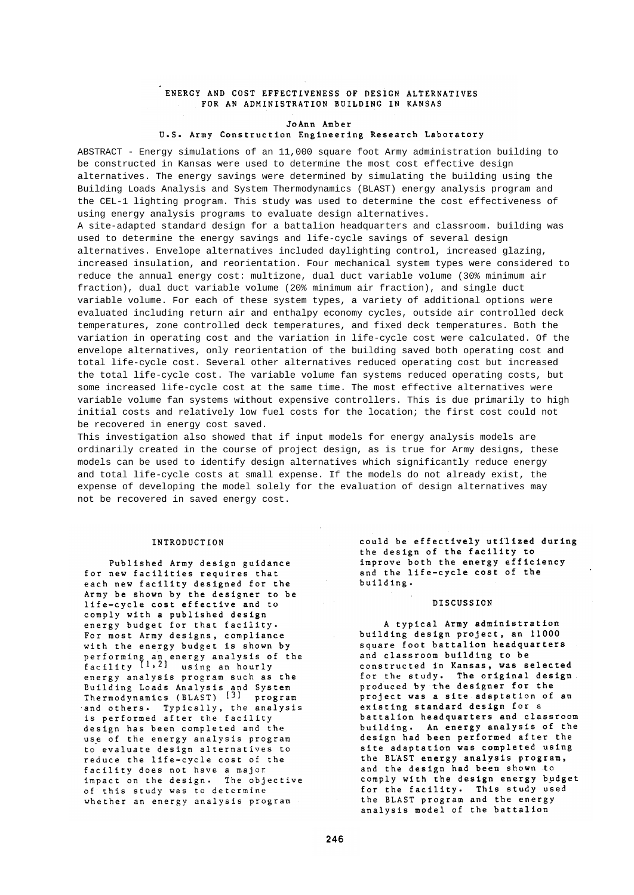# ENERGY AND COST EFFECTIVENESS OF DESIGN ALTERNATIVES FOR AN ADMINISTRATION BUILDING IN KANSAS

# JoAnn Amber U.S. Army Construction Engineering Research Laboratory

ABSTRACT - Energy simulations of an 11,000 square foot Army administration building to be constructed in Kansas were used to determine the most cost effective design alternatives. The energy savings were determined by simulating the building using the Building Loads Analysis and System Thermodynamics (BLAST) energy analysis program and the CEL-1 lighting program. This study was used to determine the cost effectiveness of using energy analysis programs to evaluate design alternatives.

A site-adapted standard design for a battalion headquarters and classroom. building was used to determine the energy savings and life-cycle savings of several design alternatives. Envelope alternatives included daylighting control, increased glazing, increased insulation, and reorientation. Four mechanical system types were considered to reduce the annual energy cost: multizone, dual duct variable volume (30% minimum air fraction), dual duct variable volume (20% minimum air fraction), and single duct variable volume. For each of these system types, a variety of additional options were evaluated including return air and enthalpy economy cycles, outside air controlled deck temperatures, zone controlled deck temperatures, and fixed deck temperatures. Both the variation in operating cost and the variation in life-cycle cost were calculated. Of the envelope alternatives, only reorientation of the building saved both operating cost and total life-cycle cost. Several other alternatives reduced operating cost but increased the total life-cycle cost. The variable volume fan systems reduced operating costs, but some increased life-cycle cost at the same time. The most effective alternatives were variable volume fan systems without expensive controllers. This is due primarily to high initial costs and relatively low fuel costs for the location; the first cost could not be recovered in energy cost saved.

This investigation also showed that if input models for energy analysis models are ordinarily created in the course of project design, as is true for Army designs, these models can be used to identify design alternatives which significantly reduce energy and total life-cycle costs at small expense. If the models do not already exist, the expense of developing the model solely for the evaluation of design alternatives may not be recovered in saved energy cost.

 $\sim 10$ 

# INTRODUCTION

Published Army design guidance for new facilities requires that each new facility designed for the Army be shown by the designer to be life-cycle cost effective and to comply with a published design energy budget for that facility. For most Army designs, compliance with the energy budget is shown by performing an energy analysis of the<br>facility [1,2] using an hourly energy analysis program such as the Building Loads Analysis and System<br>Thermodynamics (BLAST) [3] program and others. Typically, the analysis is performed after the facility design has been completed and the use of the energy analysis program to evaluate design alternatives to reduce the life-cycle cost of the facility does not have a major impact on the design. The objective of this study was to determine whether an energy analysis program

could be effectively utilized during the design of the facility to improve both the energy efficiency and the life-cycle cost of the building.

### **DISCUSSION**

A typical Army administration building design project, an 11000 square foot battalion headquarters and classroom building to be constructed in Kansas, was selected for the study. The original design produced by the designer for the project was a site adaptation of an existing standard design for a battalion headquarters and classroom building. An energy analysis of the design had been performed after the site adaptation was completed using the BLAST energy analysis program, and the design had been shown to comply with the design energy budget for the facility. This study used the BLAST program and the energy analysis model of the battalion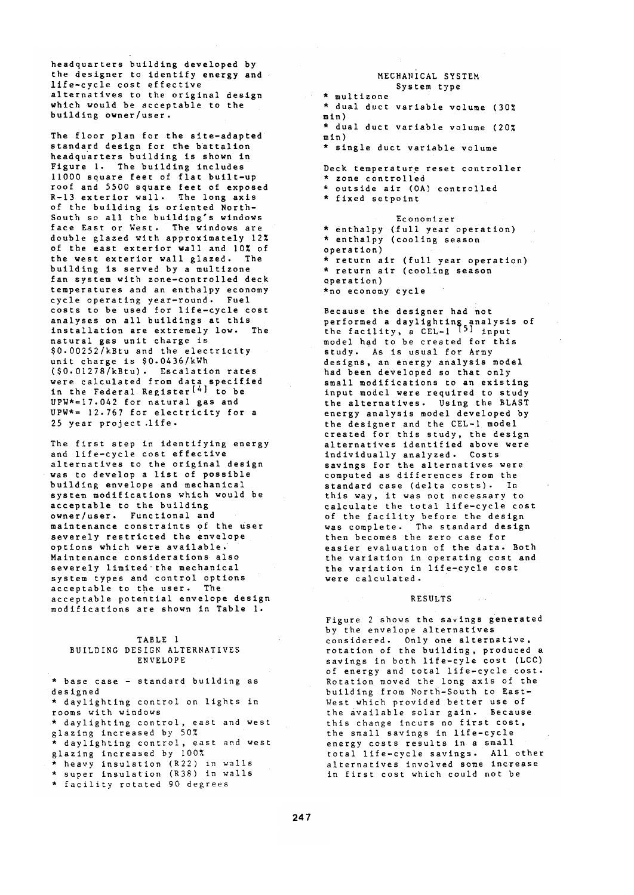headquarters building developed by the designer to identify energy and life-cycle cost effective alternatives to the original design which would be acceptable to the building owner/user.

The floor plan for the site-adapted standard design for the battalion headquarters building is shown in Figure 1. The building includes 11000 square feet of flat built-up roof and 5500 square feet of exposed R-13 exterior wall. The long axis of the building is oriented North-South so all the building's windows face East or West. The windows are double glazed with approximately 12% of the east exterior wall and 10% of the west exterior wall glazed. The building is served by a multizone fan system with zone-controlled deck temperatures and an enthalpy economy cycle operating year-round. Fuel costs to be used for life-cycle cost analyses on all buildings at this installation are extremely low. The natural gas unit charge is \$0.00252/kBtu and the electricity unit charge is \$0.0436/kWh  $(50.01278)$ kBtu). Escalation rates were calculated from data specified<br>in the Federal Register<sup>[4]</sup> to be  $UPW* = 17.042$  for natural gas and UPW\*=  $12.767$  for electricity for a 25 year project.life.

The first step in identifying energy and life-cycle cost effective alternatives to the original design was to develop a list of possible building envelope and mechanical system modifications which would be acceptable to the building owner/user. Functional and maintenance constraints of the user severely restricted the envelope options which were available. Maintenance considerations also<br>severely limited the mechanical system types and control options acceptable to the user. The acceptable potential envelope design modifications are shown in Table 1.

## TABLE 1 BUILDING DESIGN ALTERNATIVES **ENVELOPE**

\* base case - standard building as designed \* daylighting control on lights in rooms with windows \* daylighting control, east and west glazing increased by 50% \* daylighting control, east and west glazing increased by 100% \* heavy insulation (R22) in walls<br>\* super insulation (R38) in walls

\* facility rotated 90 degrees

## MECHANICAL SYSTEM System type

 $\star$  multizone \* dual duct variable volume (30%  $min)$ \* dual duct variable volume (20%  $min)$ \* single duct variable volume

Deck temperature reset controller<br>\* zone controlled<br>\* outside air (OA) controlled \* fixed setpoint

Economizer \* enthalpy (full year operation) \* enthalpy (cooling season operation) \* return air (full year operation) \* return air (cooling season operation) \*no economy cycle

Because the designer had not performed a daylighting analysis of<br>the facility, a CEL-1 <sup>[5]</sup> input model had to be created for this study. As is usual for Army<br>designs, an energy analysis model had been developed so that only small modifications to an existing<br>input model were required to study the alternatives. Using the BLAST energy analysis model developed by the designer and the CEL-1 model created for this study, the design alternatives identified above were individually analyzed. Costs savings for the alternatives were computed as differences from the standard case (delta costs). In this way, it was not necessary to<br>calculate the total life-cycle cost calculate the total life-cycle cost<br>of the facility before the design<br>was complete. The standard design<br>then becomes the zero case for<br>easier evaluation in operating cost and<br>the variation in life-cycle cost<br>were calculate were calculated.

#### RESULTS

 $\sim$   $\sim$   $\sim$ 

Figure 2 shows the savings generated by the envelope alternatives considered. Only one alternative, rotation of the building, produced a<br>savings in both life-cyle cost (LCC) of energy and total life-cycle cost. Rotation moved the long axis of the building from North-South to East-West which provided better use of the available solar gain. Because this change incurs no first cost,<br>the small savings in life-cycle<br>energy costs results in a small<br>total life-cycle savings. All other alternatives involved some increase<br>in first cost which could not be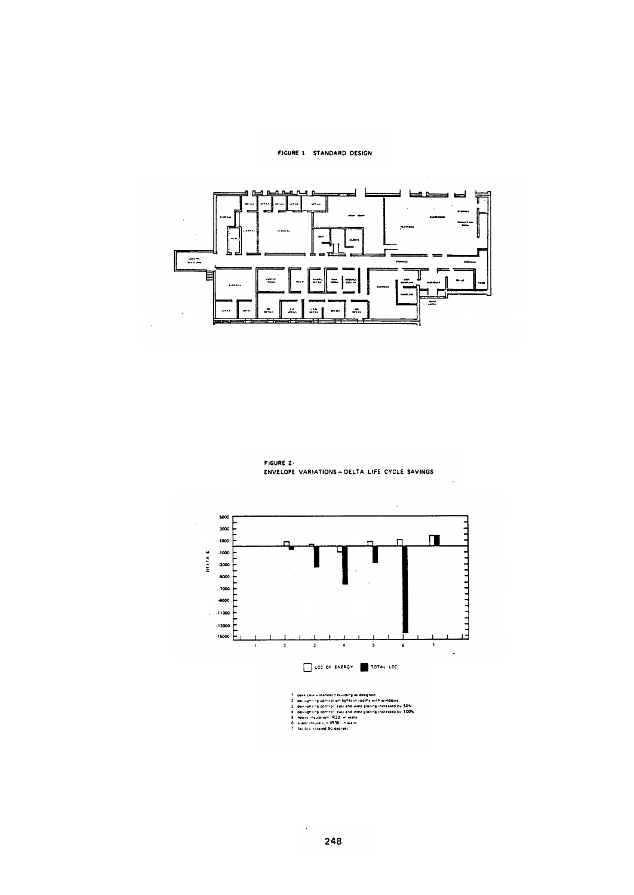## FIGURE 1 STANDARD DESIGN

÷.

l,



FIGURE 2-ENVELOPE VARIATIONS - DELTA LIFE CYCLE SAVINGS





 $\bar{z}$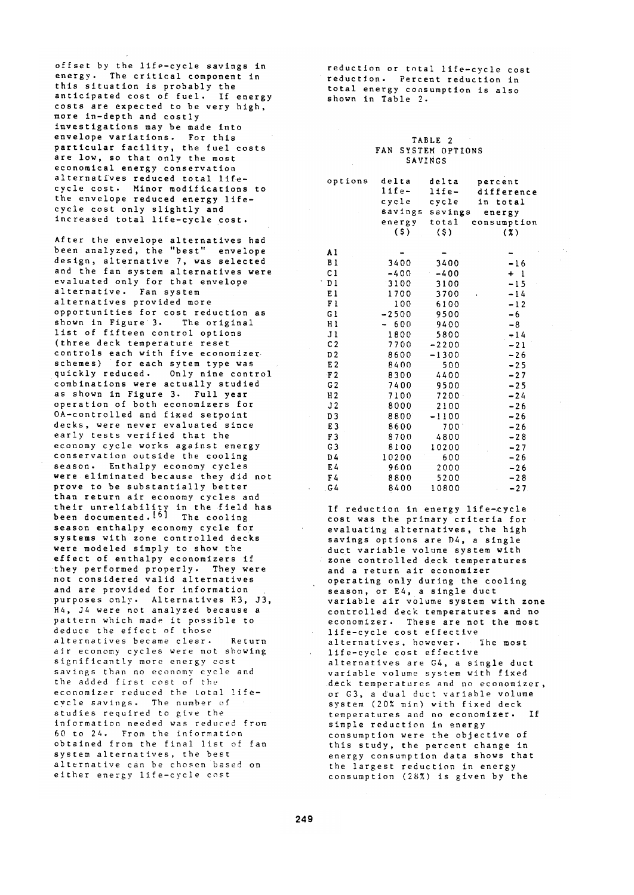offset by the life-cycle savings in energy. The critical component in this situation is probably the anticipated cost of fuel. If energy costs are expected to be very high, more in-depth and costly investigations may be made into envelope variations. For this particular facility, the fuel costs are low, so that only the most economical energy conservation alternatives reduced total lifecycle cost. Minor modifications to the envelope reduced energy lifecycle cost only slightly and<br>increased total life-cycle cost.

After the envelope alternatives had<br>been analyzed, the "best" envelope design, alternative 7, was selected and the fan system alternatives were evaluated only for that envelope alternative. Fan system alternatives provided more opportunities for cost reduction as shown in Figure 3. The original list of fifteen control options (three deck temperature reset controls each with five economizer<br>schemes) for each sytem type was quickly reduced. Only nine control combinations were actually studied as shown in Figure 3. Full year operation of both economizers for OA-controlled and fixed setpoint decks, were never evaluated since early tests verified that the economy cycle works against energy conservation outside the cooling season. Enthalpy economy cycles were eliminated because they did not prove to be substantially better than return air economy cycles and their unreliability in the field has<br>been documented.<sup>[5]</sup> The cooling season enthalpy economy cycle for systems with zone controlled decks were modeled simply to show the effect of enthalpy economizers if they performed properly. They were not considered valid alternatives and are provided for information purposes only. Alternatives H3, J3, H4, J4 were not analyzed because a pattern which made it possible to deduce the effect of those alternatives became clear. Return air economy cycles were not showing significantly more energy cost savings than no economy cycle and the added first cost of the economizer reduced the total lifecycle savings. The number of studies required to give the information needed was reduced from 60 to 24. From the information obtained from the final list of fan system alternatives, the best alternative can be chosen based on either energy life-cycle cost

reduction or total life-cycle cost reduction. Percent reduction in total energy consumption is also shown in Table 2.

## TABLE 2 FAN SYSTEM OPTIONS SAVINGS

| options        | delta   | delta    | percent     |
|----------------|---------|----------|-------------|
|                | life-   | $life -$ | difference  |
|                | cycle   | cycle    | in total    |
|                | savings | savings  | energy      |
|                | energy  | total    | consumption |
|                | (\$)    | $($ \$)  | (3)         |
|                |         |          |             |
| A l            |         |          |             |
| B <sub>1</sub> | 3400    | 3400     | $-16$       |
| C <sub>1</sub> | $-400$  | $-400$   | $+1$        |
| D1             | 3100    | 3100     | $-15$       |
| E1             | 1700    | 3700     | $-14$       |
| F <sub>1</sub> | 100     | 6100     | $-12$       |
| G l            | $-2500$ | 9500     | $-6$        |
| Hl             | 600     | 9400     | -8          |
| J <sub>1</sub> | 1800    | 5800     | $-14$       |
| C <sub>2</sub> | 7700    | $-2200$  | $-21$       |
| D <sub>2</sub> | 8600    | $-1300$  | $-26$       |
| E <sub>2</sub> | 8400    | 500      | $-25$       |
| F <sub>2</sub> | 8300    | 4400     | $-27$       |
| G <sub>2</sub> | 7400    | 9500     | $-25$       |
| H <sub>2</sub> | 7100    | $7200 -$ | $-24$       |
| J2             | 8000    | 2100     | $-26$       |
| D <sub>3</sub> | 8800    | $-1100$  | $-26$       |
| E <sub>3</sub> | 8600    | 700      | $-26$       |
| F <sub>3</sub> | 8700    | 4800     | $-28$       |
| G <sub>3</sub> | 8100    | 10200    | $-27$       |
| D4             | 10200   | 600      | $-26$       |
| E4             | 9600    | 2000     | $-26$       |
| F4             | 8800    | 5200     | $-28$       |
| G 4            | 8400    | 10800    | $-27$       |

If reduction in energy life-cycle cost was the primary criteria for<br>evaluating alternatives, the high savings options are D4, a single duct variable volume system with zone controlled deck temperatures and a return air economizer operating only during the cooling<br>season, or E4, a single duct<br>variable air volume system with zone controlled deck temperatures and no economizer. These are not the most life-cycle cost effective alternatives, however. The most life-cycle cost effective alternatives are G4, a single duct variable volume system with fixed deck temperatures and no economizer, or G3, a dual duct variable volume system (20% min) with fixed deck temperatures and no economizer. If simple reduction in energy consumption were the objective of this study, the percent change in energy consumption data shows that the largest reduction in energy consumption (28%) is given by the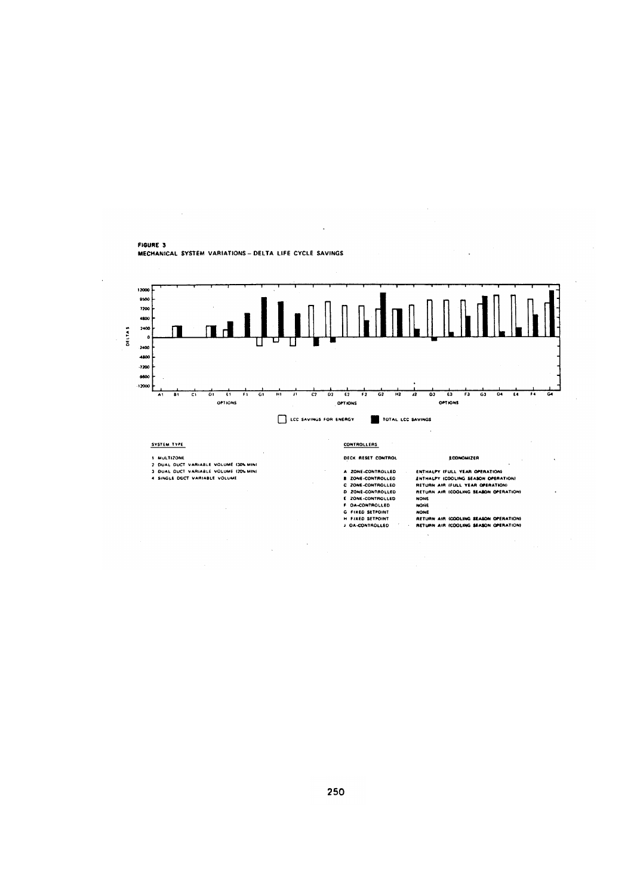

FIGURE 3 MECHANICAL SYSTEM VARIATIONS - DELTA LIFE CYCLE SAVINGS